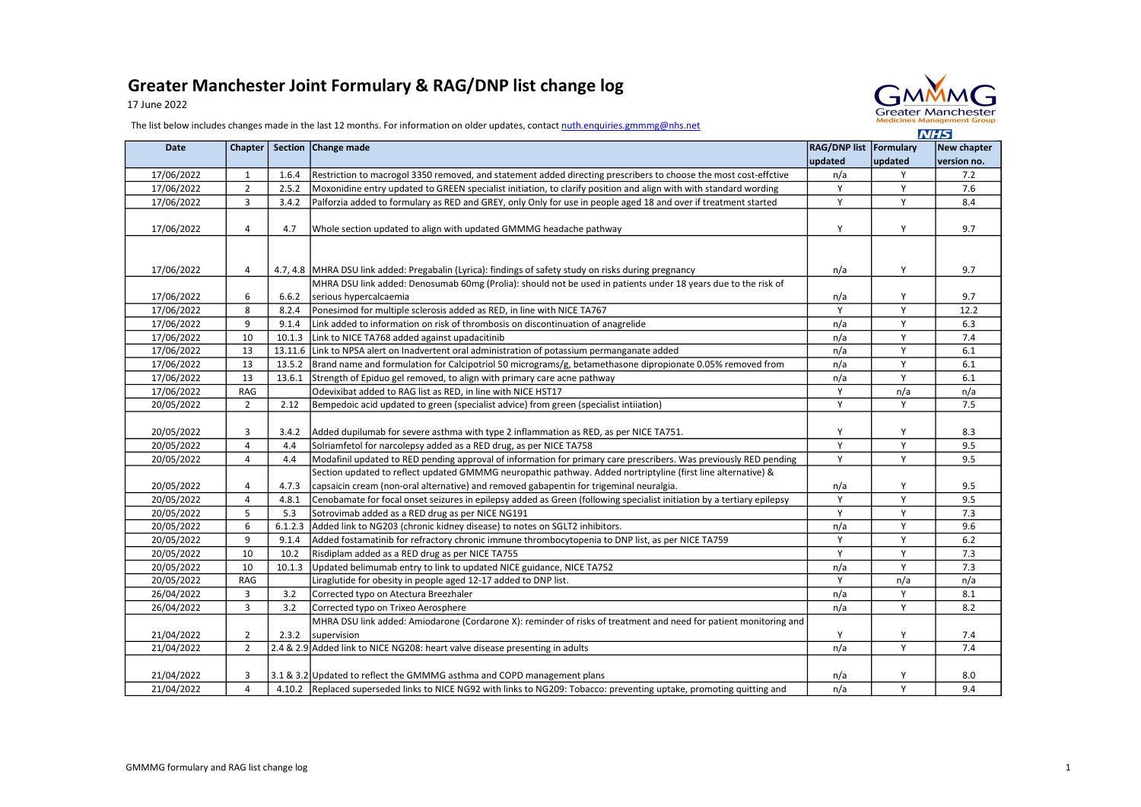## Greater Manchester Joint Formulary & RAG/DNP list change log

17 June 2022



The list below includes changes made in the last 12 months. For information on older updates, contact nuth.enquiries.gmmmg@nhs.net

|            |                |         |                                                                                                                        |                                   |         | $\blacksquare$             |
|------------|----------------|---------|------------------------------------------------------------------------------------------------------------------------|-----------------------------------|---------|----------------------------|
| Date       | Chapter        |         | Section Change made                                                                                                    | RAG/DNP list Formulary<br>updated | updated | New chapter<br>version no. |
| 17/06/2022 | $\mathbf{1}$   | 1.6.4   | Restriction to macrogol 3350 removed, and statement added directing prescribers to choose the most cost-effctive       | n/a                               | Y       | 7.2                        |
| 17/06/2022 | $\overline{2}$ | 2.5.2   | Moxonidine entry updated to GREEN specialist initiation, to clarify position and align with with standard wording      | Y                                 | Y       | 7.6                        |
| 17/06/2022 | 3              | 3.4.2   | Palforzia added to formulary as RED and GREY, only Only for use in people aged 18 and over if treatment started        | Y                                 | Y       | 8.4                        |
|            |                |         |                                                                                                                        |                                   |         |                            |
| 17/06/2022 | 4              | 4.7     | Whole section updated to align with updated GMMMG headache pathway                                                     | Y                                 | Y       | 9.7                        |
|            |                |         |                                                                                                                        |                                   |         |                            |
|            |                |         |                                                                                                                        |                                   |         |                            |
| 17/06/2022 | 4              |         | 4.7, 4.8 MHRA DSU link added: Pregabalin (Lyrica): findings of safety study on risks during pregnancy                  | n/a                               | Y       | 9.7                        |
|            |                |         | MHRA DSU link added: Denosumab 60mg (Prolia): should not be used in patients under 18 years due to the risk of         |                                   |         |                            |
| 17/06/2022 | 6              | 6.6.2   | serious hypercalcaemia                                                                                                 | n/a                               | Y       | 9.7                        |
| 17/06/2022 | 8              | 8.2.4   | Ponesimod for multiple sclerosis added as RED, in line with NICE TA767                                                 | Y                                 | Y       | 12.2                       |
| 17/06/2022 | 9              | 9.1.4   | Link added to information on risk of thrombosis on discontinuation of anagrelide                                       | n/a                               | Y       | 6.3                        |
| 17/06/2022 | 10             | 10.1.3  | Link to NICE TA768 added against upadacitinib                                                                          | n/a                               | Y       | 7.4                        |
| 17/06/2022 | 13             |         | 13.11.6 Link to NPSA alert on Inadvertent oral administration of potassium permanganate added                          | n/a                               | Y       | 6.1                        |
| 17/06/2022 | 13             | 13.5.2  | Brand name and formulation for Calcipotriol 50 micrograms/g, betamethasone dipropionate 0.05% removed from             | n/a                               | Y       | 6.1                        |
| 17/06/2022 | 13             | 13.6.1  | Strength of Epiduo gel removed, to align with primary care acne pathway                                                | n/a                               | Y       | 6.1                        |
| 17/06/2022 | RAG            |         | Odevixibat added to RAG list as RED, in line with NICE HST17                                                           | Y                                 | n/a     | n/a                        |
| 20/05/2022 | $\overline{2}$ | 2.12    | Bempedoic acid updated to green (specialist advice) from green (specialist intiiation)                                 | Y                                 | Y       | 7.5                        |
|            |                |         |                                                                                                                        |                                   |         |                            |
| 20/05/2022 | 3              | 3.4.2   | Added dupilumab for severe asthma with type 2 inflammation as RED, as per NICE TA751.                                  | Y                                 | Υ       | 8.3                        |
| 20/05/2022 | $\sqrt{4}$     | 4.4     | Solriamfetol for narcolepsy added as a RED drug, as per NICE TA758                                                     | Y                                 | Y       | 9.5                        |
| 20/05/2022 | 4              | 4.4     | Modafinil updated to RED pending approval of information for primary care prescribers. Was previously RED pending      | Y                                 | Y       | 9.5                        |
|            |                |         | Section updated to reflect updated GMMMG neuropathic pathway. Added nortriptyline (first line alternative) &           |                                   |         |                            |
| 20/05/2022 | $\overline{4}$ | 4.7.3   | capsaicin cream (non-oral alternative) and removed gabapentin for trigeminal neuralgia.                                | n/a                               | Y       | 9.5                        |
| 20/05/2022 | $\sqrt{4}$     | 4.8.1   | Cenobamate for focal onset seizures in epilepsy added as Green (following specialist initiation by a tertiary epilepsy | Y                                 | Y       | 9.5                        |
| 20/05/2022 | 5              | 5.3     | Sotrovimab added as a RED drug as per NICE NG191                                                                       | Y                                 | Y       | 7.3                        |
| 20/05/2022 | 6              | 6.1.2.3 | Added link to NG203 (chronic kidney disease) to notes on SGLT2 inhibitors.                                             | n/a                               | Y       | 9.6                        |
| 20/05/2022 | 9              | 9.1.4   | Added fostamatinib for refractory chronic immune thrombocytopenia to DNP list, as per NICE TA759                       | Y                                 | Y       | $6.2$                      |
| 20/05/2022 | 10             | 10.2    | Risdiplam added as a RED drug as per NICE TA755                                                                        | Ÿ                                 | Y       | 7.3                        |
| 20/05/2022 | 10             | 10.1.3  | Updated belimumab entry to link to updated NICE guidance, NICE TA752                                                   | n/a                               | Y       | 7.3                        |
| 20/05/2022 | RAG            |         | Liraglutide for obesity in people aged 12-17 added to DNP list.                                                        | Y                                 | n/a     | n/a                        |
| 26/04/2022 | 3              | 3.2     | Corrected typo on Atectura Breezhaler                                                                                  | n/a                               | Y       | 8.1                        |
| 26/04/2022 | 3              | 3.2     | Corrected typo on Trixeo Aerosphere                                                                                    | n/a                               | Y       | 8.2                        |
|            |                |         | MHRA DSU link added: Amiodarone (Cordarone X): reminder of risks of treatment and need for patient monitoring and      |                                   |         |                            |
| 21/04/2022 | $\overline{2}$ | 2.3.2   | supervision                                                                                                            | Y                                 | Y       | 7.4                        |
| 21/04/2022 | $\overline{2}$ |         | 2.4 & 2.9 Added link to NICE NG208: heart valve disease presenting in adults                                           | n/a                               | Y       | 7.4                        |
|            |                |         |                                                                                                                        |                                   |         |                            |
| 21/04/2022 | 3              |         | 3.1 & 3.2 Updated to reflect the GMMMG asthma and COPD management plans                                                | n/a                               | Y       | 8.0                        |
| 21/04/2022 | $\overline{4}$ |         | 4.10.2 Replaced superseded links to NICE NG92 with links to NG209: Tobacco: preventing uptake, promoting quitting and  | n/a                               | Y       | 9.4                        |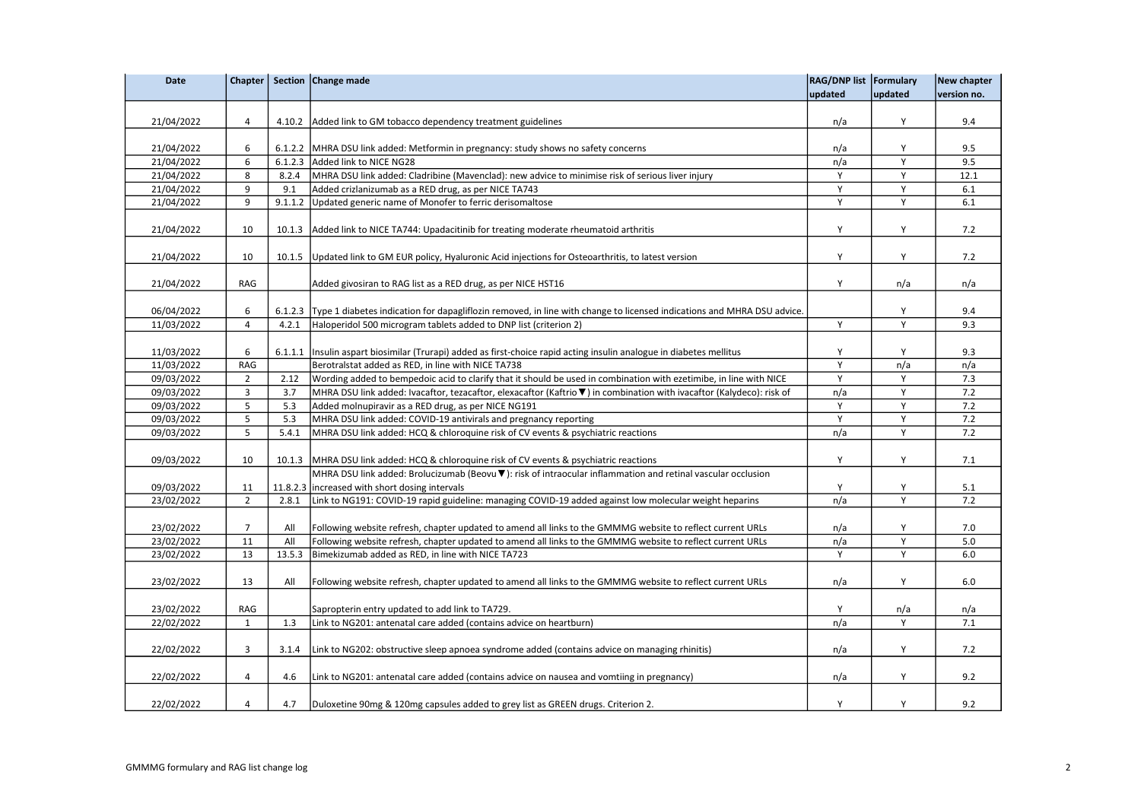| <b>Date</b> |                         |         | Chapter   Section   Change made                                                                                                | RAG/DNP list Formulary |         | New chapter |
|-------------|-------------------------|---------|--------------------------------------------------------------------------------------------------------------------------------|------------------------|---------|-------------|
|             |                         |         |                                                                                                                                | updated                | updated | version no. |
| 21/04/2022  | 4                       |         | 4.10.2 Added link to GM tobacco dependency treatment guidelines                                                                | n/a                    | Υ       | 9.4         |
| 21/04/2022  | 6                       |         | 6.1.2.2 MHRA DSU link added: Metformin in pregnancy: study shows no safety concerns                                            | n/a                    | Y       | 9.5         |
| 21/04/2022  | 6                       |         | 6.1.2.3 Added link to NICE NG28                                                                                                | n/a                    | Υ       | 9.5         |
| 21/04/2022  | 8                       | 8.2.4   | MHRA DSU link added: Cladribine (Mavenclad): new advice to minimise risk of serious liver injury                               | Υ                      | Y       | 12.1        |
| 21/04/2022  | 9                       | 9.1     | Added crizlanizumab as a RED drug, as per NICE TA743                                                                           | Y                      | Y       | 6.1         |
| 21/04/2022  | 9                       | 9.1.1.2 | Updated generic name of Monofer to ferric derisomaltose                                                                        | Υ                      | Y       | 6.1         |
| 21/04/2022  | 10                      |         | 10.1.3 Added link to NICE TA744: Upadacitinib for treating moderate rheumatoid arthritis                                       | Y                      | Y       | 7.2         |
| 21/04/2022  | 10                      |         | 10.1.5 Updated link to GM EUR policy, Hyaluronic Acid injections for Osteoarthritis, to latest version                         | Υ                      | Υ       | 7.2         |
| 21/04/2022  | RAG                     |         | Added givosiran to RAG list as a RED drug, as per NICE HST16                                                                   | Υ                      | n/a     | n/a         |
| 06/04/2022  | 6                       |         | 6.1.2.3 Type 1 diabetes indication for dapagliflozin removed, in line with change to licensed indications and MHRA DSU advice. |                        | Y       | 9.4         |
| 11/03/2022  | $\sqrt{4}$              | 4.2.1   | Haloperidol 500 microgram tablets added to DNP list (criterion 2)                                                              | Y                      | Υ       | 9.3         |
| 11/03/2022  | 6                       |         | 6.1.1.1   Insulin aspart biosimilar (Trurapi) added as first-choice rapid acting insulin analogue in diabetes mellitus         | Y                      | Y       | 9.3         |
| 11/03/2022  | RAG                     |         | Berotralstat added as RED, in line with NICE TA738                                                                             | Y                      | n/a     | n/a         |
| 09/03/2022  | $\overline{2}$          | 2.12    | Wording added to bempedoic acid to clarify that it should be used in combination with ezetimibe, in line with NICE             | Y                      | Y       | 7.3         |
| 09/03/2022  | 3                       | 3.7     | MHRA DSU link added: Ivacaftor, tezacaftor, elexacaftor (Kaftrio ▼) in combination with ivacaftor (Kalydeco): risk of          | n/a                    | Y       | 7.2         |
| 09/03/2022  | 5                       | 5.3     | Added molnupiravir as a RED drug, as per NICE NG191                                                                            | Y                      | Υ       | $7.2$       |
| 09/03/2022  | 5                       | 5.3     | MHRA DSU link added: COVID-19 antivirals and pregnancy reporting                                                               | Υ                      | Y       | 7.2         |
| 09/03/2022  | 5                       | 5.4.1   | MHRA DSU link added: HCQ & chloroquine risk of CV events & psychiatric reactions                                               | n/a                    | Y       | 7.2         |
| 09/03/2022  | 10                      |         | 10.1.3 MHRA DSU link added: HCQ & chloroquine risk of CV events & psychiatric reactions                                        | Υ                      | Υ       | 7.1         |
|             |                         |         | MHRA DSU link added: Brolucizumab (Beovu ▼): risk of intraocular inflammation and retinal vascular occlusion                   |                        |         |             |
| 09/03/2022  | 11                      |         | 11.8.2.3 increased with short dosing intervals                                                                                 | Υ                      | Υ       | 5.1         |
| 23/02/2022  | $\overline{2}$          | 2.8.1   | Link to NG191: COVID-19 rapid guideline: managing COVID-19 added against low molecular weight heparins                         | n/a                    | Υ       | 7.2         |
| 23/02/2022  | $\overline{7}$          | All     | Following website refresh, chapter updated to amend all links to the GMMMG website to reflect current URLs                     | n/a                    | Υ       | 7.0         |
| 23/02/2022  | 11                      | All     | Following website refresh, chapter updated to amend all links to the GMMMG website to reflect current URLs                     | n/a                    | Y       | 5.0         |
| 23/02/2022  | 13                      | 13.5.3  | Bimekizumab added as RED, in line with NICE TA723                                                                              | Y                      | Y       | 6.0         |
| 23/02/2022  | 13                      | All     | Following website refresh, chapter updated to amend all links to the GMMMG website to reflect current URLs                     | n/a                    | Υ       | 6.0         |
| 23/02/2022  | RAG                     |         | Sapropterin entry updated to add link to TA729.                                                                                | Y                      | n/a     | n/a         |
| 22/02/2022  | $\mathbf 1$             | 1.3     | Link to NG201: antenatal care added (contains advice on heartburn)                                                             | n/a                    | Y       | 7.1         |
| 22/02/2022  | 3                       | 3.1.4   | Link to NG202: obstructive sleep apnoea syndrome added (contains advice on managing rhinitis)                                  | n/a                    | Υ       | 7.2         |
| 22/02/2022  | $\overline{\mathbf{4}}$ | 4.6     | Link to NG201: antenatal care added (contains advice on nausea and vomtiing in pregnancy)                                      | n/a                    | Y       | 9.2         |
| 22/02/2022  | $\overline{4}$          | 4.7     | Duloxetine 90mg & 120mg capsules added to grey list as GREEN drugs. Criterion 2.                                               | Υ                      | Υ       | 9.2         |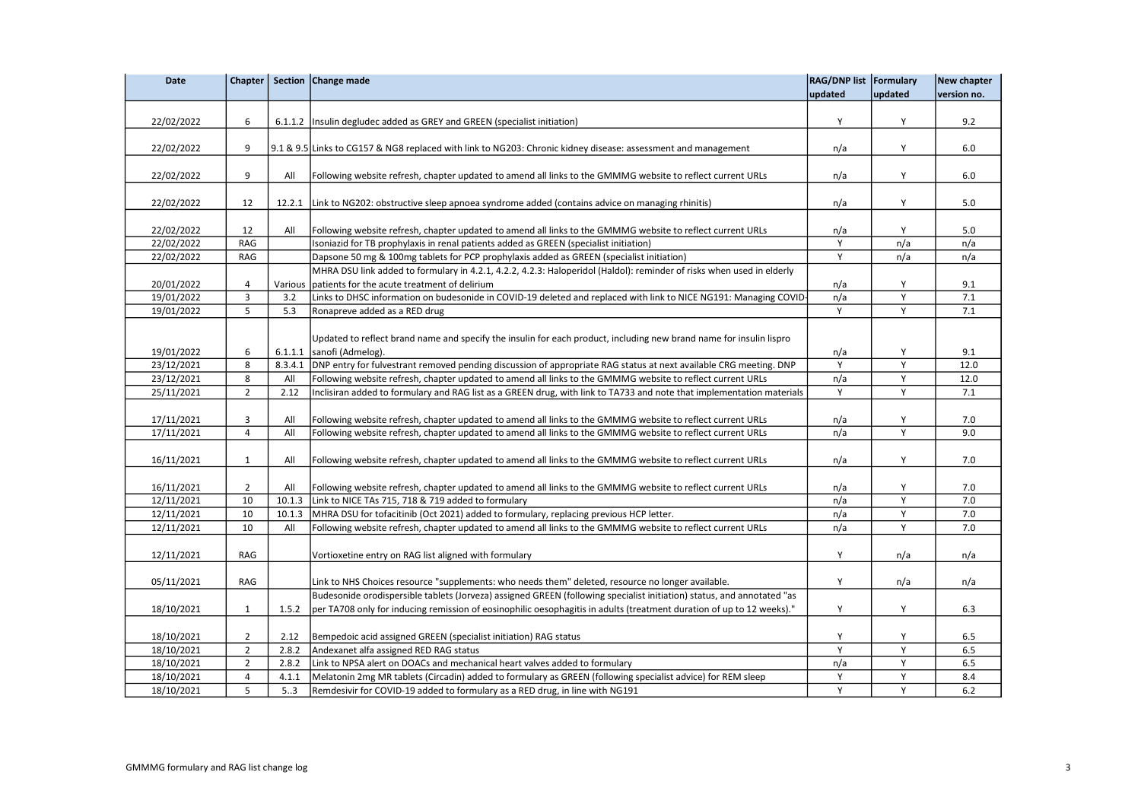| <b>Date</b> |                |         | Chapter   Section   Change made                                                                                        | RAG/DNP list Formulary |         | <b>New chapter</b> |
|-------------|----------------|---------|------------------------------------------------------------------------------------------------------------------------|------------------------|---------|--------------------|
|             |                |         |                                                                                                                        | updated                | updated | version no.        |
|             |                |         |                                                                                                                        |                        |         |                    |
| 22/02/2022  | 6              |         | 6.1.1.2   Insulin degludec added as GREY and GREEN (specialist initiation)                                             | Y                      | Y       | 9.2                |
|             |                |         |                                                                                                                        |                        |         |                    |
| 22/02/2022  | 9              |         | 9.1 & 9.5 Links to CG157 & NG8 replaced with link to NG203: Chronic kidney disease: assessment and management          | n/a                    | Y       | 6.0                |
|             |                |         |                                                                                                                        |                        |         |                    |
| 22/02/2022  | 9              | All     | Following website refresh, chapter updated to amend all links to the GMMMG website to reflect current URLs             | n/a                    | Y       | 6.0                |
|             |                |         |                                                                                                                        |                        |         |                    |
| 22/02/2022  | 12             |         | 12.2.1 Link to NG202: obstructive sleep apnoea syndrome added (contains advice on managing rhinitis)                   | n/a                    | Y       | 5.0                |
|             |                |         |                                                                                                                        |                        |         |                    |
| 22/02/2022  | 12             | All     | Following website refresh, chapter updated to amend all links to the GMMMG website to reflect current URLs             | n/a                    | Y       | 5.0                |
| 22/02/2022  | RAG            |         | Isoniazid for TB prophylaxis in renal patients added as GREEN (specialist initiation)                                  | Y                      | n/a     | n/a                |
| 22/02/2022  | RAG            |         | Dapsone 50 mg & 100mg tablets for PCP prophylaxis added as GREEN (specialist initiation)                               | Y                      | n/a     | n/a                |
|             |                |         | MHRA DSU link added to formulary in 4.2.1, 4.2.2, 4.2.3: Haloperidol (Haldol): reminder of risks when used in elderly  |                        |         |                    |
| 20/01/2022  | 4              | Various | patients for the acute treatment of delirium                                                                           | n/a                    | Y       | 9.1                |
| 19/01/2022  | 3              | 3.2     | Links to DHSC information on budesonide in COVID-19 deleted and replaced with link to NICE NG191: Managing COVID-      | n/a                    | Υ       | 7.1                |
| 19/01/2022  | 5              | 5.3     | Ronapreve added as a RED drug                                                                                          | Y                      | Y       | 7.1                |
|             |                |         |                                                                                                                        |                        |         |                    |
|             |                |         | Updated to reflect brand name and specify the insulin for each product, including new brand name for insulin lispro    |                        |         |                    |
| 19/01/2022  | 6              |         | $6.1.1.1$ sanofi (Admelog).                                                                                            | n/a                    | Y       | 9.1                |
| 23/12/2021  | 8              | 8.3.4.1 | DNP entry for fulvestrant removed pending discussion of appropriate RAG status at next available CRG meeting. DNP      | Y                      | Y       | 12.0               |
| 23/12/2021  | 8              | All     | Following website refresh, chapter updated to amend all links to the GMMMG website to reflect current URLs             | n/a                    | Y       | 12.0               |
| 25/11/2021  | $\overline{2}$ | 2.12    | Inclisiran added to formulary and RAG list as a GREEN drug, with link to TA733 and note that implementation materials  | Y                      | Y       | 7.1                |
|             |                |         |                                                                                                                        |                        |         |                    |
| 17/11/2021  | 3              | All     | Following website refresh, chapter updated to amend all links to the GMMMG website to reflect current URLs             | n/a                    | Y       | 7.0                |
| 17/11/2021  | 4              | All     | Following website refresh, chapter updated to amend all links to the GMMMG website to reflect current URLs             | n/a                    | Y       | 9.0                |
|             |                |         |                                                                                                                        |                        |         |                    |
| 16/11/2021  | $\mathbf{1}$   | All     | Following website refresh, chapter updated to amend all links to the GMMMG website to reflect current URLs             | n/a                    | Y       | 7.0                |
|             |                |         |                                                                                                                        |                        |         |                    |
| 16/11/2021  | $\overline{2}$ | All     | Following website refresh, chapter updated to amend all links to the GMMMG website to reflect current URLs             | n/a                    | Y       | 7.0                |
| 12/11/2021  | 10             | 10.1.3  | Link to NICE TAs 715, 718 & 719 added to formulary                                                                     | n/a                    | Y       | 7.0                |
| 12/11/2021  | 10             | 10.1.3  | MHRA DSU for tofacitinib (Oct 2021) added to formulary, replacing previous HCP letter.                                 | n/a                    | Y       | 7.0                |
| 12/11/2021  | 10             | All     | Following website refresh, chapter updated to amend all links to the GMMMG website to reflect current URLs             | n/a                    | Y       | 7.0                |
|             |                |         |                                                                                                                        |                        |         |                    |
| 12/11/2021  | RAG            |         | Vortioxetine entry on RAG list aligned with formulary                                                                  | Y                      | n/a     | n/a                |
|             |                |         |                                                                                                                        |                        |         |                    |
| 05/11/2021  | RAG            |         | Link to NHS Choices resource "supplements: who needs them" deleted, resource no longer available.                      | Y                      | n/a     | n/a                |
|             |                |         | Budesonide orodispersible tablets (Jorveza) assigned GREEN (following specialist initiation) status, and annotated "as |                        |         |                    |
| 18/10/2021  | $\mathbf 1$    | 1.5.2   | per TA708 only for inducing remission of eosinophilic oesophagitis in adults (treatment duration of up to 12 weeks)."  | Υ                      | Y       | 6.3                |
|             |                |         |                                                                                                                        |                        |         |                    |
| 18/10/2021  | $\overline{2}$ | 2.12    | Bempedoic acid assigned GREEN (specialist initiation) RAG status                                                       | Y                      | Y       | 6.5                |
| 18/10/2021  | $\overline{2}$ | 2.8.2   | Andexanet alfa assigned RED RAG status                                                                                 | Y                      | Y       | 6.5                |
| 18/10/2021  | $\overline{2}$ | 2.8.2   | Link to NPSA alert on DOACs and mechanical heart valves added to formulary                                             | n/a                    | Y       | 6.5                |
|             | 4              | 4.1.1   |                                                                                                                        | Y                      | Υ       | 8.4                |
| 18/10/2021  |                |         | Melatonin 2mg MR tablets (Circadin) added to formulary as GREEN (following specialist advice) for REM sleep            |                        |         |                    |
| 18/10/2021  | 5              | 5.3     | Remdesivir for COVID-19 added to formulary as a RED drug, in line with NG191                                           | Y                      | Y       | 6.2                |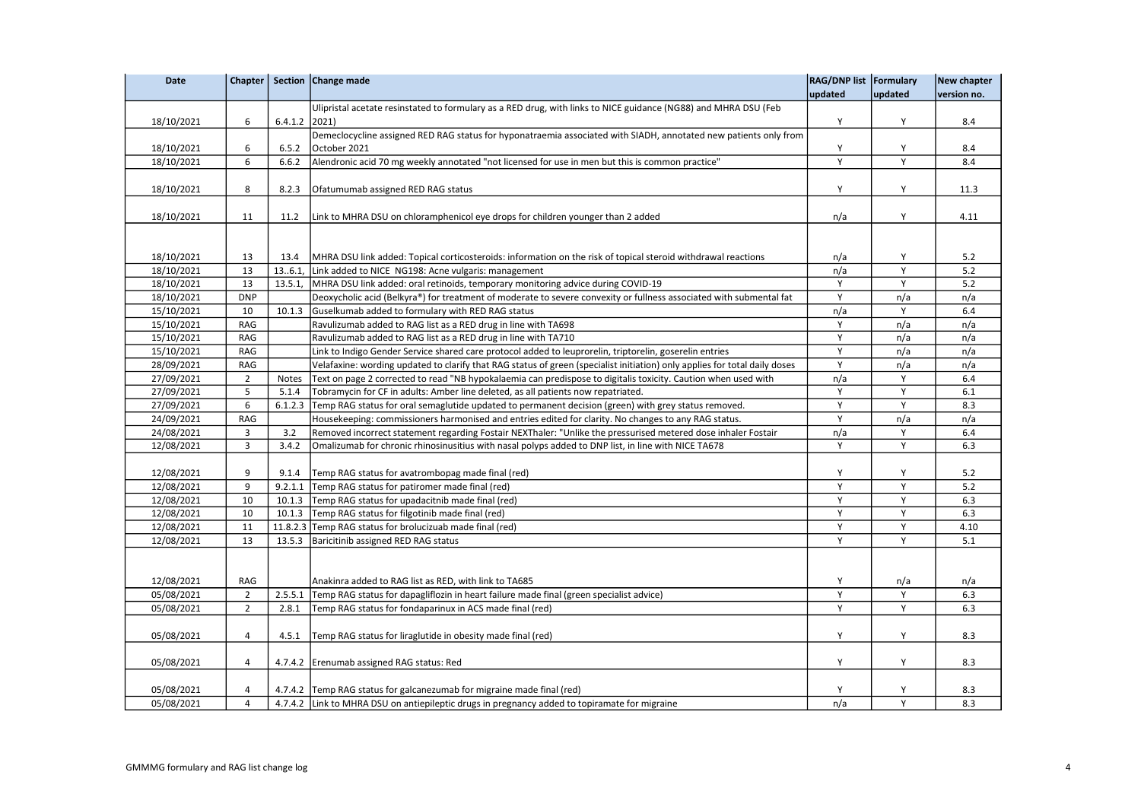| <b>Date</b> |                         |              | Chapter   Section   Change made                                                                                            | RAG/DNP list   Formulary |         | New chapter |
|-------------|-------------------------|--------------|----------------------------------------------------------------------------------------------------------------------------|--------------------------|---------|-------------|
|             |                         |              |                                                                                                                            | updated                  | updated | version no. |
|             |                         |              | Ulipristal acetate resinstated to formulary as a RED drug, with links to NICE guidance (NG88) and MHRA DSU (Feb            |                          |         |             |
| 18/10/2021  | 6                       | 6.4.1.2      | 2021)                                                                                                                      | Y                        | Υ       | 8.4         |
|             |                         |              | Demeclocycline assigned RED RAG status for hyponatraemia associated with SIADH, annotated new patients only from           |                          |         |             |
| 18/10/2021  | 6                       | 6.5.2        | October 2021                                                                                                               | Υ                        | Υ       | 8.4         |
| 18/10/2021  | 6                       | 6.6.2        | Alendronic acid 70 mg weekly annotated "not licensed for use in men but this is common practice"                           | Υ                        | Y       | 8.4         |
|             |                         |              |                                                                                                                            |                          |         |             |
| 18/10/2021  | 8                       | 8.2.3        | Ofatumumab assigned RED RAG status                                                                                         | Y                        | Y       | 11.3        |
|             |                         |              |                                                                                                                            |                          |         |             |
| 18/10/2021  | 11                      | 11.2         | Link to MHRA DSU on chloramphenicol eye drops for children younger than 2 added                                            | n/a                      | Y       | 4.11        |
|             |                         |              |                                                                                                                            |                          |         |             |
|             |                         |              |                                                                                                                            |                          |         |             |
| 18/10/2021  | 13                      | 13.4         | MHRA DSU link added: Topical corticosteroids: information on the risk of topical steroid withdrawal reactions              | n/a                      | Υ       | 5.2         |
| 18/10/2021  | 13                      | 136.1,       | Link added to NICE NG198: Acne vulgaris: management                                                                        | n/a                      | Y       | 5.2         |
| 18/10/2021  | 13                      | 13.5.1       | MHRA DSU link added: oral retinoids, temporary monitoring advice during COVID-19                                           | Y                        | Y       | 5.2         |
| 18/10/2021  | <b>DNP</b>              |              | Deoxycholic acid (Belkyra®) for treatment of moderate to severe convexity or fullness associated with submental fat        | Y                        | n/a     | n/a         |
| 15/10/2021  | 10                      | 10.1.3       | Guselkumab added to formulary with RED RAG status                                                                          | n/a                      | Y       | 6.4         |
| 15/10/2021  | RAG                     |              | Ravulizumab added to RAG list as a RED drug in line with TA698                                                             | Υ                        | n/a     | n/a         |
| 15/10/2021  | RAG                     |              | Ravulizumab added to RAG list as a RED drug in line with TA710                                                             | Y                        | n/a     | n/a         |
| 15/10/2021  | RAG                     |              | Link to Indigo Gender Service shared care protocol added to leuprorelin, triptorelin, goserelin entries                    | Y                        | n/a     | n/a         |
| 28/09/2021  | RAG                     |              | Velafaxine: wording updated to clarify that RAG status of green (specialist initiation) only applies for total daily doses | Υ                        | n/a     | n/a         |
| 27/09/2021  | $\overline{2}$          | <b>Notes</b> | Text on page 2 corrected to read "NB hypokalaemia can predispose to digitalis toxicity. Caution when used with             | n/a                      | Y       | 6.4         |
| 27/09/2021  | 5                       | 5.1.4        | Tobramycin for CF in adults: Amber line deleted, as all patients now repatriated.                                          | Υ                        | Υ       | 6.1         |
| 27/09/2021  | 6                       | 6.1.2.3      | Temp RAG status for oral semaglutide updated to permanent decision (green) with grey status removed.                       | Υ                        | Y       | 8.3         |
| 24/09/2021  | RAG                     |              | Housekeeping: commissioners harmonised and entries edited for clarity. No changes to any RAG status.                       | Y                        | n/a     | n/a         |
| 24/08/2021  | 3                       | 3.2          | Removed incorrect statement regarding Fostair NEXThaler: "Unlike the pressurised metered dose inhaler Fostair              | n/a                      | Y       | 6.4         |
| 12/08/2021  | $\overline{3}$          | 3.4.2        | Omalizumab for chronic rhinosinusitius with nasal polyps added to DNP list, in line with NICE TA678                        | Y                        | Y       | 6.3         |
|             |                         |              |                                                                                                                            |                          |         |             |
| 12/08/2021  | 9                       | 9.1.4        | Temp RAG status for avatrombopag made final (red)                                                                          | Υ                        | Y       | 5.2         |
| 12/08/2021  | 9                       |              | 9.2.1.1 Temp RAG status for patiromer made final (red)                                                                     | Y                        | Y       | 5.2         |
| 12/08/2021  | 10                      |              | 10.1.3 Temp RAG status for upadacitnib made final (red)                                                                    | Y                        | Y       | 6.3         |
| 12/08/2021  | 10                      | 10.1.3       | Temp RAG status for filgotinib made final (red)                                                                            | Y                        | Y       | 6.3         |
| 12/08/2021  | 11                      |              | 11.8.2.3 Temp RAG status for brolucizuab made final (red)                                                                  | Υ                        | Y       | 4.10        |
| 12/08/2021  | 13                      |              | 13.5.3 Baricitinib assigned RED RAG status                                                                                 | Y                        | Y       | 5.1         |
|             |                         |              |                                                                                                                            |                          |         |             |
|             |                         |              |                                                                                                                            |                          |         |             |
| 12/08/2021  | <b>RAG</b>              |              | Anakinra added to RAG list as RED, with link to TA685                                                                      | Υ                        | n/a     | n/a         |
| 05/08/2021  | $\overline{2}$          | 2.5.5.1      | Temp RAG status for dapagliflozin in heart failure made final (green specialist advice)                                    | Υ                        | Υ       | 6.3         |
| 05/08/2021  | $\overline{2}$          | 2.8.1        | Temp RAG status for fondaparinux in ACS made final (red)                                                                   | Y                        | Y       | 6.3         |
|             |                         |              |                                                                                                                            |                          |         |             |
| 05/08/2021  | $\overline{\mathbf{4}}$ | 4.5.1        | Temp RAG status for liraglutide in obesity made final (red)                                                                | Y                        | Y       | 8.3         |
|             |                         |              |                                                                                                                            |                          |         |             |
| 05/08/2021  | 4                       |              | 4.7.4.2 Erenumab assigned RAG status: Red                                                                                  | Υ                        | Υ       | 8.3         |
|             |                         |              |                                                                                                                            |                          |         |             |
| 05/08/2021  | 4                       |              | 4.7.4.2 Temp RAG status for galcanezumab for migraine made final (red)                                                     | Υ                        | Υ       | 8.3         |
| 05/08/2021  | $\overline{4}$          |              | 4.7.4.2 Link to MHRA DSU on antiepileptic drugs in pregnancy added to topiramate for migraine                              | n/a                      | Y       | 8.3         |